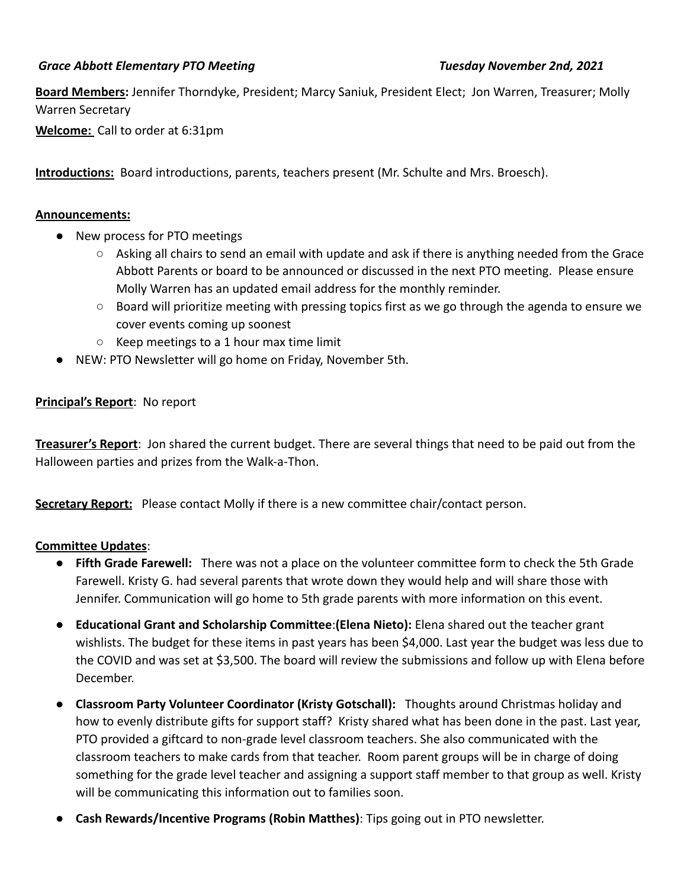## *Grace Abbott Elementary PTO Meeting Tuesday November 2nd, 2021*

**Board Members:** Jennifer Thorndyke, President; Marcy Saniuk, President Elect; Jon Warren, Treasurer; Molly Warren Secretary

**Welcome:** Call to order at 6:31pm

**Introductions:** Board introductions, parents, teachers present (Mr. Schulte and Mrs. Broesch).

#### **Announcements:**

- New process for PTO meetings
	- Asking all chairs to send an email with update and ask if there is anything needed from the Grace Abbott Parents or board to be announced or discussed in the next PTO meeting. Please ensure Molly Warren has an updated email address for the monthly reminder.
	- Board will prioritize meeting with pressing topics first as we go through the agenda to ensure we cover events coming up soonest
	- $\circ$  Keep meetings to a 1 hour max time limit
- NEW: PTO Newsletter will go home on Friday, November 5th.

### **Principal's Report**: No report

**Treasurer's Report**: Jon shared the current budget. There are several things that need to be paid out from the Halloween parties and prizes from the Walk-a-Thon.

**Secretary Report:** Please contact Molly if there is a new committee chair/contact person.

### **Committee Updates**:

- **Fifth Grade Farewell:** There was not a place on the volunteer committee form to check the 5th Grade Farewell. Kristy G. had several parents that wrote down they would help and will share those with Jennifer. Communication will go home to 5th grade parents with more information on this event.
- **Educational Grant and Scholarship Committee**:**(Elena Nieto):** Elena shared out the teacher grant wishlists. The budget for these items in past years has been \$4,000. Last year the budget was less due to the COVID and was set at \$3,500. The board will review the submissions and follow up with Elena before December.
- **● Classroom Party Volunteer Coordinator (Kristy Gotschall):** Thoughts around Christmas holiday and how to evenly distribute gifts for support staff? Kristy shared what has been done in the past. Last year, PTO provided a giftcard to non-grade level classroom teachers. She also communicated with the classroom teachers to make cards from that teacher. Room parent groups will be in charge of doing something for the grade level teacher and assigning a support staff member to that group as well. Kristy will be communicating this information out to families soon.
- **Cash Rewards/Incentive Programs (Robin Matthes)**: Tips going out in PTO newsletter.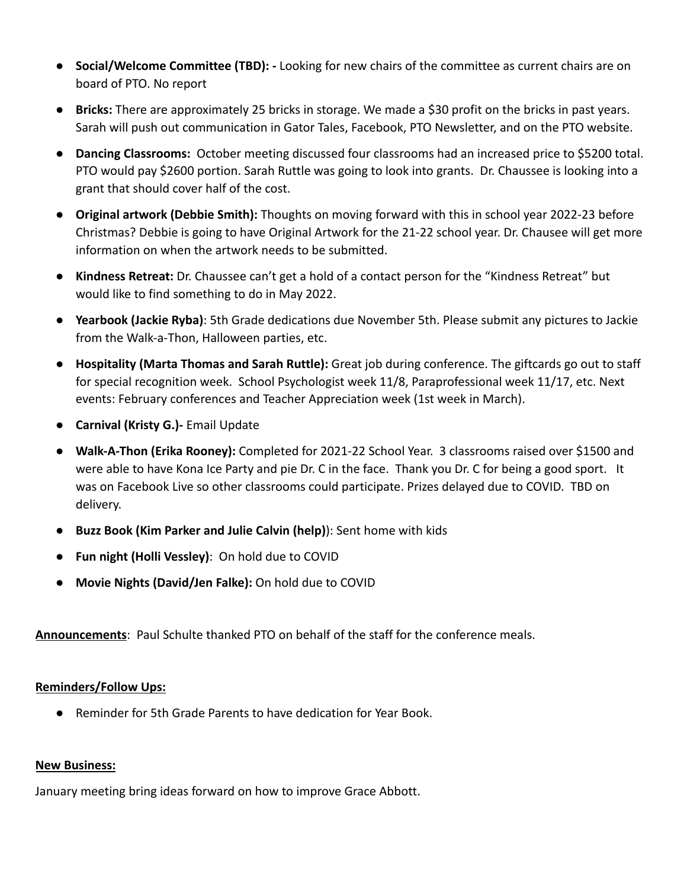- **Social/Welcome Committee (TBD): -** Looking for new chairs of the committee as current chairs are on board of PTO. No report
- **Bricks:** There are approximately 25 bricks in storage. We made a \$30 profit on the bricks in past years. Sarah will push out communication in Gator Tales, Facebook, PTO Newsletter, and on the PTO website.
- **Dancing Classrooms:** October meeting discussed four classrooms had an increased price to \$5200 total. PTO would pay \$2600 portion. Sarah Ruttle was going to look into grants. Dr. Chaussee is looking into a grant that should cover half of the cost.
- **Original artwork (Debbie Smith):** Thoughts on moving forward with this in school year 2022-23 before Christmas? Debbie is going to have Original Artwork for the 21-22 school year. Dr. Chausee will get more information on when the artwork needs to be submitted.
- **● Kindness Retreat:** Dr. Chaussee can't get a hold of a contact person for the "Kindness Retreat" but would like to find something to do in May 2022.
- **Yearbook (Jackie Ryba)**: 5th Grade dedications due November 5th. Please submit any pictures to Jackie from the Walk-a-Thon, Halloween parties, etc.
- **Hospitality (Marta Thomas and Sarah Ruttle):** Great job during conference. The giftcards go out to staff for special recognition week. School Psychologist week 11/8, Paraprofessional week 11/17, etc. Next events: February conferences and Teacher Appreciation week (1st week in March).
- **Carnival (Kristy G.)-** Email Update
- **Walk-A-Thon (Erika Rooney):** Completed for 2021-22 School Year. 3 classrooms raised over \$1500 and were able to have Kona Ice Party and pie Dr. C in the face. Thank you Dr. C for being a good sport. It was on Facebook Live so other classrooms could participate. Prizes delayed due to COVID. TBD on delivery.
- **● Buzz Book (Kim Parker and Julie Calvin (help)**): Sent home with kids
- **Fun night (Holli Vessley)**: On hold due to COVID
- **Movie Nights (David/Jen Falke):** On hold due to COVID

**Announcements**: Paul Schulte thanked PTO on behalf of the staff for the conference meals.

### **Reminders/Follow Ups:**

● Reminder for 5th Grade Parents to have dedication for Year Book.

### **New Business:**

January meeting bring ideas forward on how to improve Grace Abbott.